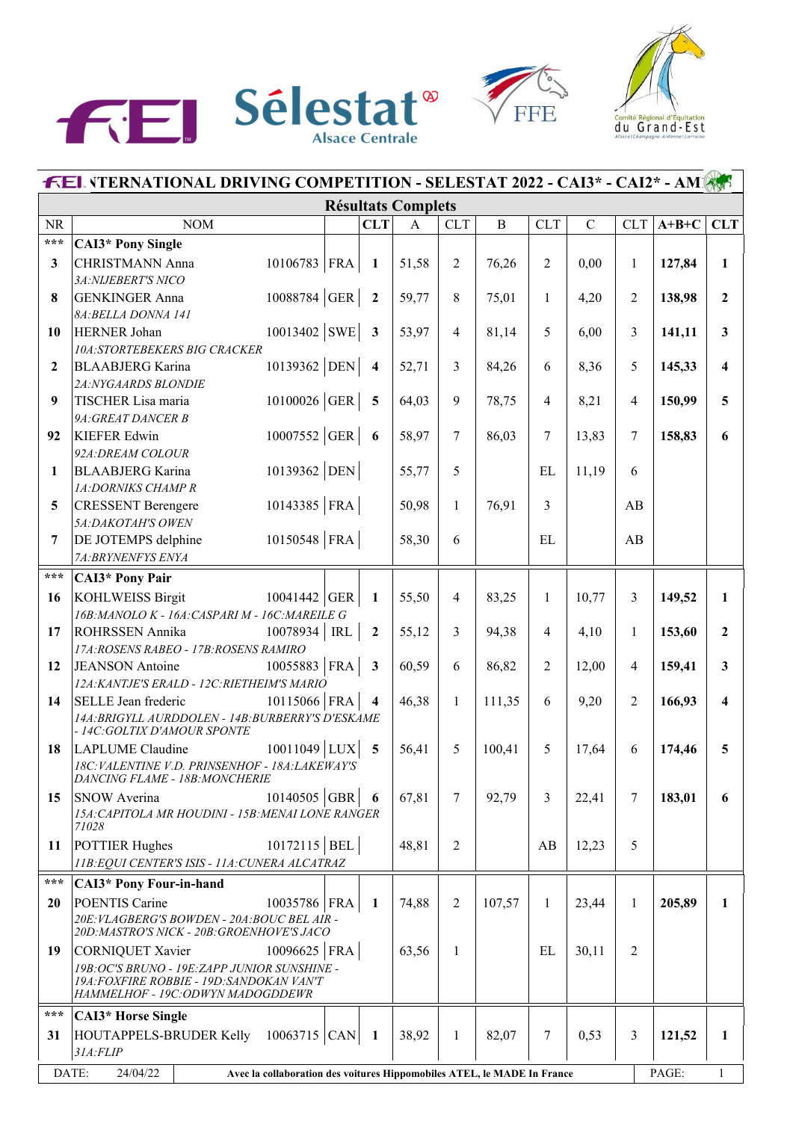





|                   | <b>FEL VTERNATIONAL DRIVING COMPETITION - SELESTAT 2022 - CAI3* - CAI2* - AM</b>             |  |                          |                           |                 |              |                |             |                |         |                         |  |
|-------------------|----------------------------------------------------------------------------------------------|--|--------------------------|---------------------------|-----------------|--------------|----------------|-------------|----------------|---------|-------------------------|--|
|                   |                                                                                              |  |                          | <b>Résultats Complets</b> |                 |              |                |             |                |         |                         |  |
| <b>NR</b>         | <b>NOM</b>                                                                                   |  | <b>CLT</b>               | $\mathbf{A}$              | <b>CLT</b>      | $\, {\bf B}$ | <b>CLT</b>     | $\mathbf C$ | <b>CLT</b>     | $A+B+C$ | <b>CLT</b>              |  |
| $\star\star\star$ | <b>CAI3*</b> Pony Single                                                                     |  |                          |                           |                 |              |                |             |                |         |                         |  |
| 3                 | $10106783$ FRA<br><b>CHRISTMANN Anna</b>                                                     |  | $\blacksquare$           | 51,58                     | $\overline{2}$  | 76,26        | $\overline{2}$ | 0,00        | $\mathbf{1}$   | 127,84  | $\mathbf{1}$            |  |
|                   | 3A:NIJEBERT'S NICO                                                                           |  |                          |                           |                 |              |                |             |                |         |                         |  |
| 8                 | 10088784 GER<br><b>GENKINGER Anna</b>                                                        |  | $\overline{2}$           | 59,77                     | 8               | 75,01        | 1              | 4,20        | 2              | 138,98  | $\overline{2}$          |  |
|                   | 8A: BELLA DONNA 141                                                                          |  |                          |                           |                 |              |                |             |                |         |                         |  |
| 10                | $10013402$ SWE<br><b>HERNER Johan</b>                                                        |  | $\overline{\mathbf{3}}$  | 53,97                     | $\overline{4}$  | 81,14        | 5              | 6,00        | 3              | 141,11  | $\overline{\mathbf{3}}$ |  |
|                   | <b>10A:STORTEBEKERS BIG CRACKER</b>                                                          |  |                          |                           |                 |              |                |             |                |         |                         |  |
| $\overline{2}$    | 10139362 DEN<br><b>BLAABJERG</b> Karina                                                      |  | $\overline{\mathbf{4}}$  | 52,71                     | 3               | 84,26        | 6              | 8,36        | 5              | 145,33  | $\overline{\mathbf{4}}$ |  |
|                   | 2A:NYGAARDS BLONDIE                                                                          |  |                          |                           |                 |              |                |             |                |         |                         |  |
| 9                 | $10100026$ GER<br>TISCHER Lisa maria                                                         |  | $\overline{5}$           | 64,03                     | $\mathfrak{g}$  | 78,75        | 4              | 8,21        | $\overline{4}$ | 150,99  | 5                       |  |
|                   | 9A: GREAT DANCER B                                                                           |  | $\overline{\phantom{a}}$ |                           | $\overline{7}$  |              |                |             |                |         |                         |  |
| 92                | 10007552  GER <br><b>KIEFER Edwin</b><br>92A: DREAM COLOUR                                   |  |                          | 58,97                     |                 | 86,03        | 7              | 13,83       | $\tau$         | 158,83  | 6                       |  |
| 1                 | 10139362 DEN<br><b>BLAABJERG</b> Karina                                                      |  |                          | 55,77                     | 5               |              | EL             | 11,19       | 6              |         |                         |  |
|                   | 1A:DORNIKS CHAMP R                                                                           |  |                          |                           |                 |              |                |             |                |         |                         |  |
| 5                 | 10143385 FRA<br><b>CRESSENT Berengere</b>                                                    |  |                          | 50,98                     | $\mathbf{1}$    | 76,91        | 3              |             | AB             |         |                         |  |
|                   | 5A: DAKOTAH'S OWEN                                                                           |  |                          |                           |                 |              |                |             |                |         |                         |  |
| 7                 | $10150548$ FRA<br>DE JOTEMPS delphine                                                        |  |                          | 58,30                     | 6               |              | EL             |             | AB             |         |                         |  |
|                   | 7A: BRYNENFYS ENYA                                                                           |  |                          |                           |                 |              |                |             |                |         |                         |  |
| $\star\star\star$ | <b>CAI3*</b> Pony Pair                                                                       |  |                          |                           |                 |              |                |             |                |         |                         |  |
| 16                | KOHLWEISS Birgit<br>$10041442$ GER                                                           |  | $\mathbf{1}$             | 55,50                     | $\overline{4}$  | 83,25        | $\mathbf{1}$   | 10,77       | 3              | 149,52  | $\mathbf{1}$            |  |
|                   | 16B: MANOLO K - 16A: CASPARI M - 16C: MAREILE G                                              |  |                          |                           |                 |              |                |             |                |         |                         |  |
| 17                | $10078934$ RL<br><b>ROHRSSEN Annika</b>                                                      |  | $\overline{2}$           | 55,12                     | $\overline{3}$  | 94,38        | $\overline{4}$ | 4,10        | $\mathbf{1}$   | 153,60  | $\overline{2}$          |  |
|                   | 17A: ROSENS RABEO - 17B: ROSENS RAMIRO                                                       |  |                          |                           |                 |              |                |             |                |         |                         |  |
| 12                | 10055883 FRA<br><b>JEANSON</b> Antoine                                                       |  | $\mathbf{3}$             | 60,59                     | 6               | 86,82        | $\overline{2}$ | 12,00       | $\overline{4}$ | 159,41  | 3                       |  |
|                   | 12A: KANTJE'S ERALD - 12C: RIETHEIM'S MARIO                                                  |  |                          |                           |                 |              |                |             |                |         |                         |  |
| 14                | SELLE Jean frederic<br>10115066 FRA                                                          |  | $\overline{\mathbf{4}}$  | 46,38                     | $\mathbf{1}$    | 111,35       | 6              | 9,20        | $\overline{2}$ | 166,93  | 4                       |  |
|                   | 14A: BRIGYLL AURDDOLEN - 14B: BURBERRY'S D'ESKAME                                            |  |                          |                           |                 |              |                |             |                |         |                         |  |
|                   | - 14C: GOLTIX D'AMOUR SPONTE                                                                 |  |                          |                           |                 |              |                |             |                |         |                         |  |
| 18                | LAPLUME Claudine<br>$10011049$ LUX<br>18C: VALENTINE V.D. PRINSENHOF - 18A: LAKEWAY'S        |  | 5                        | 56,41                     | 5               | 100,41       | 5              | 17,64       | 6              | 174,46  | 5                       |  |
|                   | DANCING FLAME - 18B: MONCHERIE                                                               |  |                          |                           |                 |              |                |             |                |         |                         |  |
| 15                | 10140505 GBR<br><b>SNOW Averina</b>                                                          |  | - 6                      | 67,81                     | $7\phantom{.0}$ | 92,79        | 3              | 22,41       | 7              | 183,01  | 6                       |  |
|                   | 15A: CAPITOLA MR HOUDINI - 15B: MENAI LONE RANGER                                            |  |                          |                           |                 |              |                |             |                |         |                         |  |
|                   | 71028                                                                                        |  |                          |                           |                 |              |                |             |                |         |                         |  |
| 11                | $10172115$ BEL<br>POTTIER Hughes                                                             |  |                          | 48,81                     | $\overline{2}$  |              | AB             | 12,23       | 5              |         |                         |  |
|                   | 11B: EQUI CENTER'S ISIS - 11A: CUNERA ALCATRAZ                                               |  |                          |                           |                 |              |                |             |                |         |                         |  |
| ***               | <b>CAI3*</b> Pony Four-in-hand                                                               |  |                          |                           |                 |              |                |             |                |         |                         |  |
| 20                | POENTIS Carine<br>10035786 FRA                                                               |  | 1                        | 74,88                     | 2               | 107,57       | 1              | 23,44       | 1              | 205,89  | $\mathbf{1}$            |  |
|                   | 20E: VLAGBERG'S BOWDEN - 20A: BOUC BEL AIR -<br>20D: MASTRO'S NICK - 20B: GROENHOVE'S JACO   |  |                          |                           |                 |              |                |             |                |         |                         |  |
| 19                | $10096625$ FRA<br>CORNIQUET Xavier                                                           |  |                          | 63,56                     | 1               |              | EL             | 30,11       | 2              |         |                         |  |
|                   | 19B: OC'S BRUNO - 19E: ZAPP JUNIOR SUNSHINE -                                                |  |                          |                           |                 |              |                |             |                |         |                         |  |
|                   | 19A: FOXFIRE ROBBIE - 19D: SANDOKAN VAN'T                                                    |  |                          |                           |                 |              |                |             |                |         |                         |  |
|                   | HAMMELHOF - 19C: ODWYN MADOGDDEWR                                                            |  |                          |                           |                 |              |                |             |                |         |                         |  |
| $***$             | <b>CAI3*</b> Horse Single                                                                    |  |                          |                           |                 |              |                |             |                |         |                         |  |
| 31                | $10063715$ CAN<br>HOUTAPPELS-BRUDER Kelly                                                    |  | $\blacksquare$           | 38,92                     | $\mathbf{1}$    | 82,07        | 7              | 0,53        | 3              | 121,52  | $\mathbf{1}$            |  |
|                   | 31A:FLIP                                                                                     |  |                          |                           |                 |              |                |             |                |         |                         |  |
|                   | DATE:<br>24/04/22<br>Avec la collaboration des voitures Hippomobiles ATEL, le MADE In France |  |                          |                           |                 |              |                |             |                | PAGE:   | $\mathbf{1}$            |  |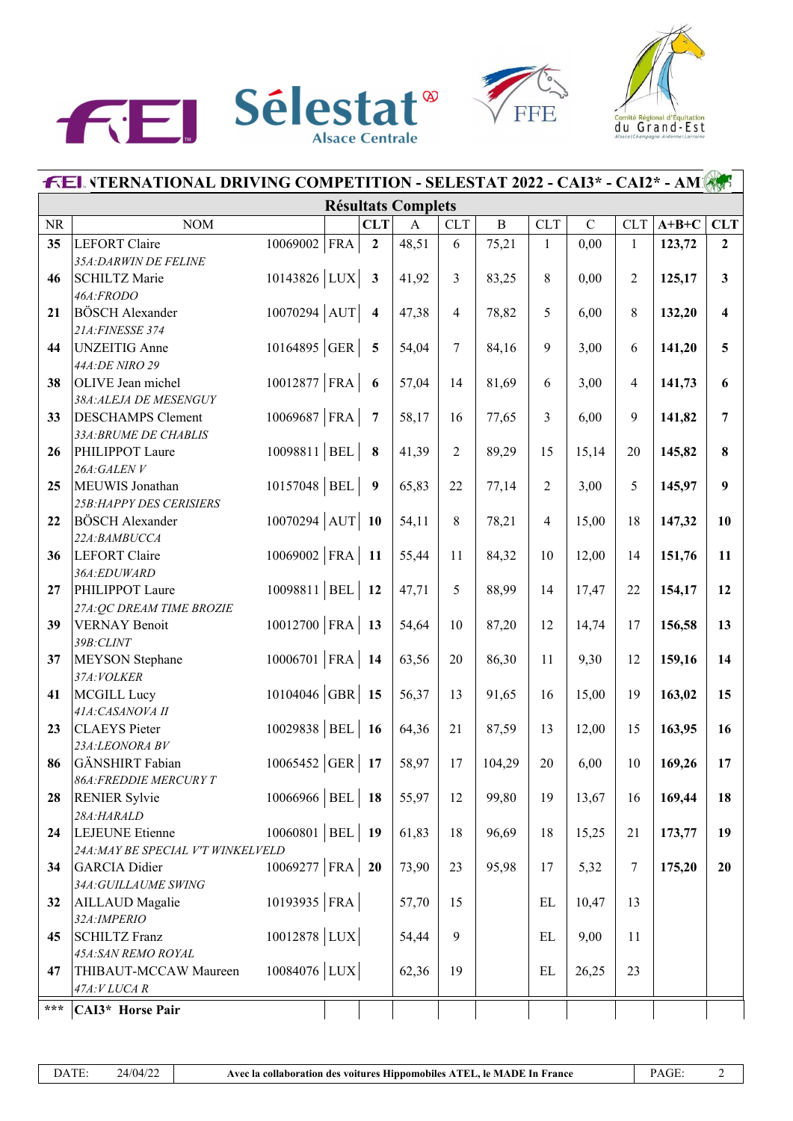





| <b>FEL VTERNATIONAL DRIVING COMPETITION - SELESTAT 2022 - CAI3* - CAI2* - AM</b> |                                                   |                   |  |                         |                           |                |              |                |             |                |         |                         |
|----------------------------------------------------------------------------------|---------------------------------------------------|-------------------|--|-------------------------|---------------------------|----------------|--------------|----------------|-------------|----------------|---------|-------------------------|
|                                                                                  |                                                   |                   |  |                         | <b>Résultats Complets</b> |                |              |                |             |                |         |                         |
| <b>NR</b>                                                                        | $NOM$                                             |                   |  | <b>CLT</b>              | $\mathbf{A}$              | <b>CLT</b>     | $\, {\bf B}$ | <b>CLT</b>     | $\mathbf C$ | <b>CLT</b>     | $A+B+C$ | <b>CLT</b>              |
| 35                                                                               | <b>LEFORT</b> Claire                              | $10069002$ FRA    |  | $\overline{2}$          | 48,51                     | 6              | 75,21        | $\mathbf{1}$   | 0,00        | $\mathbf{1}$   | 123,72  | $\overline{2}$          |
|                                                                                  | 35A: DARWIN DE FELINE                             |                   |  |                         |                           |                |              |                |             |                |         |                         |
| 46                                                                               | <b>SCHILTZ Marie</b>                              | 10143826 LUX      |  | $\mathbf{3}$            | 41,92                     | $\overline{3}$ | 83,25        | 8              | 0,00        | $\overline{2}$ | 125,17  | $\mathbf{3}$            |
|                                                                                  | 46A:FRODO                                         |                   |  |                         |                           |                |              |                |             |                |         |                         |
| 21                                                                               | <b>BÖSCH Alexander</b>                            | $10070294$ AUT    |  | $\overline{\mathbf{4}}$ | 47,38                     | $\overline{4}$ | 78,82        | 5              | 6,00        | 8              | 132,20  | $\overline{\mathbf{4}}$ |
|                                                                                  | 21A: FINESSE 374                                  |                   |  |                         |                           |                |              |                |             |                |         |                         |
| 44                                                                               | <b>UNZEITIG</b> Anne                              | 10164895 GER      |  | $\overline{5}$          | 54,04                     | $\overline{7}$ | 84,16        | 9              | 3,00        | 6              | 141,20  | 5                       |
|                                                                                  | 44A:DE NIRO 29                                    |                   |  |                         |                           |                |              |                |             |                |         |                         |
| 38                                                                               | OLIVE Jean michel                                 | 10012877 FRA      |  | 6                       | 57,04                     | 14             | 81,69        | 6              | 3,00        | 4              | 141,73  | 6                       |
| 33                                                                               | 38A:ALEJA DE MESENGUY<br><b>DESCHAMPS Clement</b> | 10069687 FRA      |  | $\overline{7}$          | 58,17                     | 16             |              | 3              | 6,00        | 9              | 141,82  | $\overline{7}$          |
|                                                                                  | 33A: BRUME DE CHABLIS                             |                   |  |                         |                           |                | 77,65        |                |             |                |         |                         |
| 26                                                                               | PHILIPPOT Laure                                   | 10098811 BEL      |  | 8                       | 41,39                     | $\overline{2}$ | 89,29        | 15             | 15,14       | 20             | 145,82  | 8                       |
|                                                                                  | 26A:GALENV                                        |                   |  |                         |                           |                |              |                |             |                |         |                         |
| 25                                                                               | MEUWIS Jonathan                                   | $10157048$ BEL    |  | 9                       | 65,83                     | 22             | 77,14        | $\overline{2}$ | 3,00        | 5              | 145,97  | 9                       |
|                                                                                  | 25B: HAPPY DES CERISIERS                          |                   |  |                         |                           |                |              |                |             |                |         |                         |
| 22                                                                               | <b>BÖSCH Alexander</b>                            | $10070294$ AUT    |  | <b>10</b>               | 54,11                     | 8              | 78,21        | $\overline{4}$ | 15,00       | 18             | 147,32  | 10                      |
|                                                                                  | 22A:BAMBUCCA                                      |                   |  |                         |                           |                |              |                |             |                |         |                         |
| 36                                                                               | LEFORT Claire                                     | $10069002$ FRA    |  | <b>11</b>               | 55,44                     | 11             | 84,32        | 10             | 12,00       | 14             | 151,76  | 11                      |
|                                                                                  | 36A:EDUWARD                                       |                   |  |                         |                           |                |              |                |             |                |         |                         |
| 27                                                                               | PHILIPPOT Laure                                   | 10098811 BEL      |  | 12                      | 47,71                     | 5              | 88,99        | 14             | 17,47       | 22             | 154,17  | 12                      |
|                                                                                  | 27A: QC DREAM TIME BROZIE                         |                   |  |                         |                           |                |              |                |             |                |         |                         |
| 39                                                                               | <b>VERNAY Benoit</b>                              | 10012700 FRA      |  | 13                      | 54,64                     | 10             | 87,20        | 12             | 14,74       | 17             | 156,58  | 13                      |
|                                                                                  | 39B:CLINT                                         |                   |  |                         |                           |                |              |                |             |                |         |                         |
| 37                                                                               | MEYSON Stephane                                   | $10006701$ FRA 14 |  |                         | 63,56                     | 20             | 86,30        | 11             | 9,30        | 12             | 159,16  | 14                      |
| 41                                                                               | 37A: VOLKER<br>MCGILL Lucy                        | 10104046  GBR     |  | 15                      | 56,37                     | 13             | 91,65        | 16             | 15,00       | 19             | 163,02  | 15                      |
|                                                                                  | 41A: CASANOVA II                                  |                   |  |                         |                           |                |              |                |             |                |         |                         |
| 23                                                                               | <b>CLAEYS</b> Pieter                              | 10029838 BEL      |  | <b>16</b>               | 64,36                     | 21             | 87,59        | 13             | 12,00       | 15             | 163,95  | 16                      |
|                                                                                  | 23A:LEONORA BV                                    |                   |  |                         |                           |                |              |                |             |                |         |                         |
| 86                                                                               | GÄNSHIRT Fabian                                   | $10065452$ GER 17 |  |                         | 58,97                     | 17             | 104,29       | 20             | 6,00        | 10             | 169,26  | 17                      |
|                                                                                  | <b>86A:FREDDIE MERCURY T</b>                      |                   |  |                         |                           |                |              |                |             |                |         |                         |
| 28                                                                               | <b>RENIER</b> Sylvie                              | 10066966 BEL      |  | 18                      | 55,97                     | 12             | 99,80        | 19             | 13,67       | 16             | 169,44  | 18                      |
|                                                                                  | 28A:HARALD                                        |                   |  |                         |                           |                |              |                |             |                |         |                         |
| 24                                                                               | LEJEUNE Etienne                                   | $10060801$ BEL    |  | 19                      | 61,83                     | 18             | 96,69        | 18             | 15,25       | 21             | 173,77  | 19                      |
|                                                                                  | 24A: MAY BE SPECIAL V'T WINKELVELD                |                   |  |                         |                           |                |              |                |             |                |         |                         |
| 34                                                                               | GARCIA Didier                                     | $10069277$ FRA 20 |  |                         | 73,90                     | 23             | 95,98        | 17             | 5,32        | 7              | 175,20  | 20                      |
|                                                                                  | 34A: GUILLAUME SWING                              |                   |  |                         |                           |                |              |                |             |                |         |                         |
| 32                                                                               | <b>AILLAUD</b> Magalie<br>32A: IMPERIO            | 10193935   FRA    |  |                         | 57,70                     | 15             |              | EL             | 10,47       | 13             |         |                         |
| 45                                                                               | <b>SCHILTZ Franz</b>                              | $10012878$ LUX    |  |                         | 54,44                     | 9              |              | EL             | 9,00        | 11             |         |                         |
|                                                                                  | 45A:SAN REMO ROYAL                                |                   |  |                         |                           |                |              |                |             |                |         |                         |
| 47                                                                               | THIBAUT-MCCAW Maureen                             | $10084076$ LUX    |  |                         | 62,36                     | 19             |              | EL             | 26,25       | 23             |         |                         |
|                                                                                  | 47A:VLUCA R                                       |                   |  |                         |                           |                |              |                |             |                |         |                         |
| $***$                                                                            | CAI3* Horse Pair                                  |                   |  |                         |                           |                |              |                |             |                |         |                         |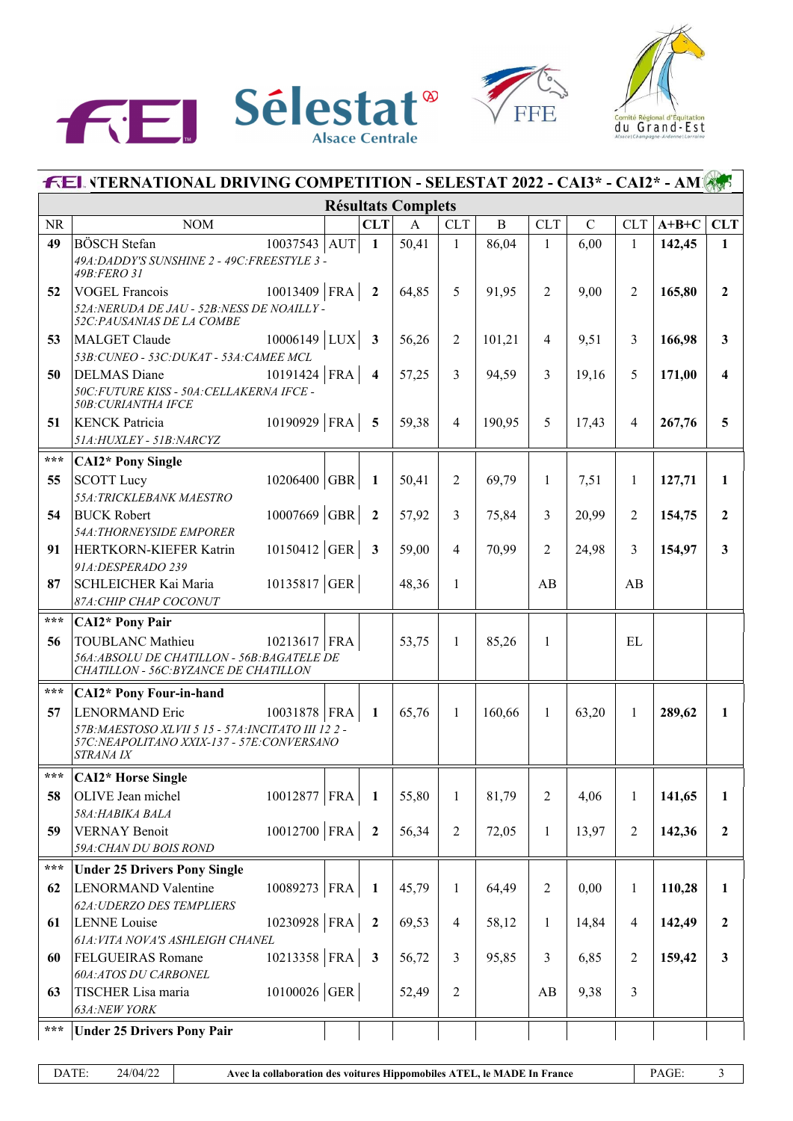





| <b>FEL VTERNATIONAL DRIVING COMPETITION - SELESTAT 2022 - CAI3* - CAI2* - AMIASE</b> |                                                                                                           |  |                         |                           |                |              |                |             |                |         |                         |
|--------------------------------------------------------------------------------------|-----------------------------------------------------------------------------------------------------------|--|-------------------------|---------------------------|----------------|--------------|----------------|-------------|----------------|---------|-------------------------|
|                                                                                      |                                                                                                           |  |                         | <b>Résultats Complets</b> |                |              |                |             |                |         |                         |
| <b>NR</b>                                                                            | <b>NOM</b>                                                                                                |  | <b>CLT</b>              | $\mathbf{A}$              | <b>CLT</b>     | $\, {\bf B}$ | <b>CLT</b>     | $\mathbf C$ | <b>CLT</b>     | $A+B+C$ | <b>CLT</b>              |
| 49                                                                                   | <b>BÖSCH</b> Stefan<br>10037543 AUT                                                                       |  | $\mathbf{1}$            | 50,41                     | $\mathbf{1}$   | 86,04        | $\mathbf{1}$   | 6,00        | 1              | 142,45  | $\mathbf{1}$            |
|                                                                                      | 49A: DADDY'S SUNSHINE 2 - 49C: FREESTYLE 3 -<br>49B:FERO 31                                               |  |                         |                           |                |              |                |             |                |         |                         |
| 52                                                                                   | $10013409$ FRA<br><b>VOGEL Francois</b>                                                                   |  | $\overline{2}$          | 64,85                     | 5              | 91,95        | 2              | 9,00        | $\overline{2}$ | 165,80  | $\overline{2}$          |
|                                                                                      | 52A: NERUDA DE JAU - 52B: NESS DE NOAILLY -<br>52C: PAUSANIAS DE LA COMBE                                 |  |                         |                           |                |              |                |             |                |         |                         |
| 53                                                                                   | $10006149$ LUX<br>MALGET Claude                                                                           |  | $\overline{\mathbf{3}}$ | 56,26                     | $\overline{2}$ | 101,21       | $\overline{4}$ | 9,51        | 3              | 166,98  | 3                       |
|                                                                                      | 53B: CUNEO - 53C: DUKAT - 53A: CAMEE MCL                                                                  |  |                         |                           |                |              |                |             |                |         |                         |
| 50                                                                                   | $10191424$ FRA<br><b>DELMAS</b> Diane<br>50C: FUTURE KISS - 50A: CELLAKERNA IFCE -<br>50B: CURIANTHA IFCE |  | $\overline{\mathbf{4}}$ | 57,25                     | 3              | 94,59        | 3              | 19,16       | 5              | 171,00  | 4                       |
| 51                                                                                   | 10190929   FRA<br><b>KENCK Patricia</b>                                                                   |  | $\overline{5}$          | 59,38                     | $\overline{4}$ | 190,95       | 5              | 17,43       | 4              | 267,76  | 5                       |
|                                                                                      | 51A: HUXLEY - 51B: NARCYZ                                                                                 |  |                         |                           |                |              |                |             |                |         |                         |
| $***$                                                                                | <b>CAI2*</b> Pony Single                                                                                  |  |                         |                           |                |              |                |             |                |         |                         |
| 55                                                                                   | $10206400$ GBR<br><b>SCOTT</b> Lucy                                                                       |  | 1                       | 50,41                     | $\overline{2}$ | 69,79        | $\mathbf{1}$   | 7,51        | $\mathbf{1}$   | 127,71  | 1                       |
|                                                                                      | 55A: TRICKLEBANK MAESTRO                                                                                  |  |                         |                           |                |              |                |             |                |         |                         |
| 54                                                                                   | $10007669$ GBR<br><b>BUCK Robert</b>                                                                      |  | $\overline{2}$          | 57,92                     | 3              | 75,84        | 3              | 20,99       | 2              | 154,75  | $\mathbf{2}$            |
|                                                                                      | 54A: THORNEYSIDE EMPORER                                                                                  |  |                         |                           |                |              |                |             |                |         |                         |
| 91                                                                                   | 10150412 GER<br>HERTKORN-KIEFER Katrin                                                                    |  | $\overline{\mathbf{3}}$ | 59,00                     | $\overline{4}$ | 70,99        | 2              | 24,98       | 3              | 154,97  | $\overline{\mathbf{3}}$ |
| 87                                                                                   | 91A: DESPERADO 239<br>10135817 GER<br>SCHLEICHER Kai Maria                                                |  |                         | 48,36                     | $\mathbf{1}$   |              | AB             |             | AB             |         |                         |
|                                                                                      | 87A: CHIP CHAP COCONUT                                                                                    |  |                         |                           |                |              |                |             |                |         |                         |
| $\star\star\star$                                                                    | <b>CAI2*</b> Pony Pair                                                                                    |  |                         |                           |                |              |                |             |                |         |                         |
| 56                                                                                   | <b>TOUBLANC Mathieu</b><br>$10213617$ FRA                                                                 |  |                         | 53,75                     | $\mathbf{1}$   | 85,26        | $\mathbf{1}$   |             | <b>EL</b>      |         |                         |
|                                                                                      | 56A: ABSOLU DE CHATILLON - 56B: BAGATELE DE                                                               |  |                         |                           |                |              |                |             |                |         |                         |
|                                                                                      | CHATILLON - 56C: BYZANCE DE CHATILLON                                                                     |  |                         |                           |                |              |                |             |                |         |                         |
| $***$                                                                                | <b>CAI2*</b> Pony Four-in-hand                                                                            |  |                         |                           |                |              |                |             |                |         |                         |
| 57                                                                                   | <b>LENORMAND</b> Eric<br>10031878 FRA                                                                     |  | 1                       | 65,76                     | $\mathbf{1}$   | 160,66       | $\mathbf{1}$   | 63,20       | 1              | 289,62  | 1                       |
|                                                                                      | 57B: MAESTOSO XLVII 5 15 - 57A: INCITATO III 122 -                                                        |  |                         |                           |                |              |                |             |                |         |                         |
|                                                                                      | 57C: NEAPOLITANO XXIX-137 - 57E: CONVERSANO<br><b>STRANA IX</b>                                           |  |                         |                           |                |              |                |             |                |         |                         |
| ***                                                                                  | <b>CAI2*</b> Horse Single                                                                                 |  |                         |                           |                |              |                |             |                |         |                         |
| 58                                                                                   | 10012877 FRA<br>OLIVE Jean michel                                                                         |  | 1                       | 55,80                     | $\mathbf{1}$   | 81,79        | $\overline{2}$ | 4,06        | 1              | 141,65  | 1                       |
|                                                                                      | 58A:HABIKA BALA                                                                                           |  |                         |                           |                |              |                |             |                |         |                         |
| 59                                                                                   | 10012700 FRA<br><b>VERNAY Benoit</b>                                                                      |  | $\overline{\mathbf{2}}$ | 56,34                     | $\sqrt{2}$     | 72,05        | 1              | 13,97       | 2              | 142,36  | $\mathbf{2}$            |
|                                                                                      | 59A: CHAN DU BOIS ROND                                                                                    |  |                         |                           |                |              |                |             |                |         |                         |
| $***$                                                                                | <b>Under 25 Drivers Pony Single</b>                                                                       |  |                         |                           |                |              |                |             |                |         |                         |
| 62                                                                                   | 10089273 FRA<br><b>LENORMAND Valentine</b>                                                                |  | 1                       | 45,79                     | $\mathbf{1}$   | 64,49        | $\overline{2}$ | 0,00        | 1              | 110,28  | 1                       |
|                                                                                      | 62A: UDERZO DES TEMPLIERS                                                                                 |  |                         |                           |                |              |                |             |                |         |                         |
| 61                                                                                   | $10230928$ FRA<br><b>LENNE</b> Louise                                                                     |  | $\overline{2}$          | 69,53                     | $\overline{4}$ | 58,12        | 1              | 14,84       | 4              | 142,49  | 2                       |
|                                                                                      | 61A: VITA NOVA'S ASHLEIGH CHANEL                                                                          |  |                         |                           |                |              |                |             |                |         |                         |
| 60                                                                                   | 10213358 FRA<br><b>FELGUEIRAS Romane</b><br>60A:ATOS DU CARBONEL                                          |  | $\mathbf{3}$            | 56,72                     | 3              | 95,85        | 3              | 6,85        | 2              | 159,42  | $\mathbf{3}$            |
| 63                                                                                   | $10100026$ GER<br>TISCHER Lisa maria                                                                      |  |                         | 52,49                     | $\sqrt{2}$     |              | AB             | 9,38        | 3              |         |                         |
|                                                                                      | 63A:NEW YORK                                                                                              |  |                         |                           |                |              |                |             |                |         |                         |
| $***$                                                                                | <b>Under 25 Drivers Pony Pair</b>                                                                         |  |                         |                           |                |              |                |             |                |         |                         |
|                                                                                      |                                                                                                           |  |                         |                           |                |              |                |             |                |         |                         |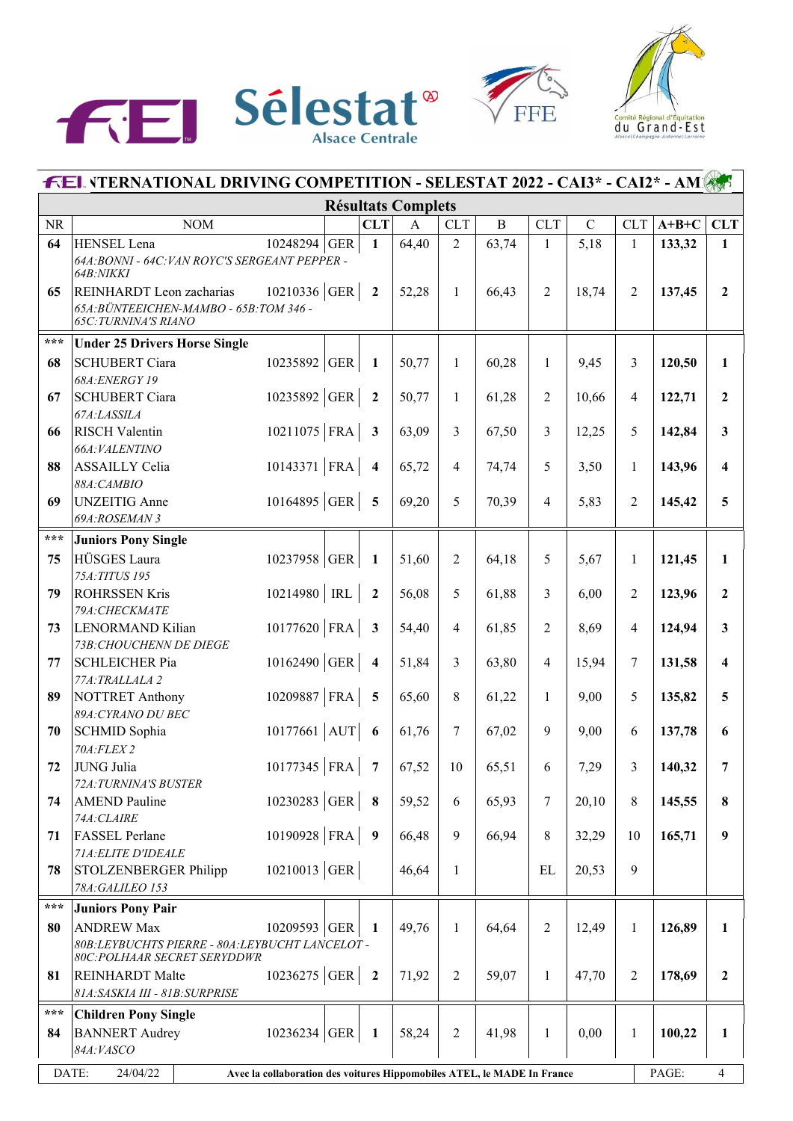





| <b>FEL VTERNATIONAL DRIVING COMPETITION - SELESTAT 2022 - CAI3* - CAI2* - AM</b> |                                                                               |                                                                         |  |                         |                           |                |              |                |               |                |         |                  |
|----------------------------------------------------------------------------------|-------------------------------------------------------------------------------|-------------------------------------------------------------------------|--|-------------------------|---------------------------|----------------|--------------|----------------|---------------|----------------|---------|------------------|
|                                                                                  |                                                                               |                                                                         |  |                         | <b>Résultats Complets</b> |                |              |                |               |                |         |                  |
| <b>NR</b>                                                                        | <b>NOM</b>                                                                    |                                                                         |  | <b>CLT</b>              | $\mathbf{A}$              | CLT            | $\, {\bf B}$ | <b>CLT</b>     | $\mathcal{C}$ | <b>CLT</b>     | $A+B+C$ | <b>CLT</b>       |
| 64                                                                               | HENSEL Lena                                                                   | 10248294 GER                                                            |  | $\mathbf{1}$            | 64,40                     | $\overline{2}$ | 63,74        | 1              | 5,18          | $\mathbf{1}$   | 133,32  | $\mathbf{1}$     |
|                                                                                  | 64A: BONNI - 64C: VAN ROYC'S SERGEANT PEPPER -                                |                                                                         |  |                         |                           |                |              |                |               |                |         |                  |
| 65                                                                               | 64B:NIKKI<br>REINHARDT Leon zacharias                                         | 10210336 GER                                                            |  | $\overline{2}$          | 52,28                     | $\mathbf{1}$   | 66,43        | $\overline{2}$ | 18,74         | $\overline{2}$ | 137,45  | $\overline{2}$   |
|                                                                                  | 65A: BÜNTEEICHEN-MAMBO - 65B: TOM 346 -                                       |                                                                         |  |                         |                           |                |              |                |               |                |         |                  |
|                                                                                  | <b>65C: TURNINA'S RIANO</b>                                                   |                                                                         |  |                         |                           |                |              |                |               |                |         |                  |
| ***                                                                              | <b>Under 25 Drivers Horse Single</b>                                          |                                                                         |  |                         |                           |                |              |                |               |                |         |                  |
| 68                                                                               | <b>SCHUBERT Ciara</b>                                                         | 10235892 GER                                                            |  | $\mathbf{1}$            | 50,77                     | $\mathbf{1}$   | 60,28        | $\mathbf{1}$   | 9,45          | 3              | 120,50  | $\mathbf{1}$     |
|                                                                                  | 68A: ENERGY 19                                                                |                                                                         |  |                         |                           |                |              |                |               |                |         |                  |
| 67                                                                               | <b>SCHUBERT</b> Ciara                                                         | 10235892 GER                                                            |  | $\overline{2}$          | 50,77                     | $\mathbf{1}$   | 61,28        | 2              | 10,66         | 4              | 122,71  | $\overline{2}$   |
|                                                                                  | 67A:LASSILA                                                                   |                                                                         |  |                         |                           |                |              |                |               |                |         |                  |
| 66                                                                               | <b>RISCH Valentin</b>                                                         | $10211075$ FRA                                                          |  | $\mathbf{3}$            | 63,09                     | 3              | 67,50        | 3              | 12,25         | 5              | 142,84  | 3                |
|                                                                                  | 66A: VALENTINO                                                                |                                                                         |  |                         |                           |                |              |                |               |                |         |                  |
| 88                                                                               | ASSAILLY Celia<br>88A: CAMBIO                                                 | 10143371 FRA                                                            |  | $\overline{\mathbf{4}}$ | 65,72                     | $\overline{4}$ | 74,74        | 5              | 3,50          | $\mathbf{1}$   | 143,96  | 4                |
| 69                                                                               | <b>UNZEITIG</b> Anne                                                          | 10164895 GER                                                            |  | 5                       | 69,20                     | 5              | 70,39        | 4              | 5,83          | $\overline{2}$ | 145,42  | 5                |
|                                                                                  | 69A:ROSEMAN 3                                                                 |                                                                         |  |                         |                           |                |              |                |               |                |         |                  |
| $\star\star\star$                                                                | <b>Juniors Pony Single</b>                                                    |                                                                         |  |                         |                           |                |              |                |               |                |         |                  |
| 75                                                                               | HÜSGES Laura                                                                  | 10237958 GER                                                            |  | 1                       | 51,60                     | $\overline{2}$ | 64,18        | 5              | 5,67          | 1              | 121,45  | $\mathbf{1}$     |
|                                                                                  | 75A: TITUS 195                                                                |                                                                         |  |                         |                           |                |              |                |               |                |         |                  |
| 79                                                                               | <b>ROHRSSEN Kris</b>                                                          | 10214980 RL                                                             |  | $\overline{2}$          | 56,08                     | 5              | 61,88        | 3              | 6,00          | $\overline{2}$ | 123,96  | $\mathbf{2}$     |
|                                                                                  | 79A: CHECKMATE                                                                |                                                                         |  |                         |                           |                |              |                |               |                |         |                  |
| 73                                                                               | <b>LENORMAND Kilian</b>                                                       | $10177620$ FRA                                                          |  | $\mathbf{3}$            | 54,40                     | $\overline{4}$ | 61,85        | 2              | 8,69          | $\overline{4}$ | 124,94  | 3                |
|                                                                                  | 73B: CHOUCHENN DE DIEGE                                                       |                                                                         |  |                         |                           |                |              |                |               |                |         |                  |
| 77                                                                               | <b>SCHLEICHER Pia</b>                                                         | $10162490$ GER                                                          |  | $\overline{\mathbf{4}}$ | 51,84                     | 3              | 63,80        | 4              | 15,94         | 7              | 131,58  | 4                |
|                                                                                  | 77A: TRALLALA 2                                                               |                                                                         |  |                         |                           |                |              |                |               |                |         |                  |
| 89                                                                               | NOTTRET Anthony<br>89A: CYRANO DU BEC                                         | 10209887 FRA                                                            |  | 5                       | 65,60                     | 8              | 61,22        | $\mathbf{1}$   | 9,00          | 5              | 135,82  | 5                |
| 70                                                                               | SCHMID Sophia                                                                 | $10177661$ AUT                                                          |  | 6                       | 61,76                     | $\overline{7}$ | 67,02        | 9              | 9,00          | 6              | 137,78  | 6                |
|                                                                                  | 70A:FLEX 2                                                                    |                                                                         |  |                         |                           |                |              |                |               |                |         |                  |
| 72                                                                               | JUNG Julia                                                                    | 10177345   FRA                                                          |  | $\overline{7}$          | 67,52                     | 10             | 65,51        | 6              | 7,29          | 3              | 140,32  | 7                |
|                                                                                  | 72A: TURNINA'S BUSTER                                                         |                                                                         |  |                         |                           |                |              |                |               |                |         |                  |
| 74                                                                               | <b>AMEND</b> Pauline                                                          | 10230283 GER                                                            |  | 8                       | 59,52                     | 6              | 65,93        | 7              | 20,10         | 8              | 145,55  | 8                |
|                                                                                  | 74A: CLAIRE                                                                   |                                                                         |  |                         |                           |                |              |                |               |                |         |                  |
| 71                                                                               | <b>FASSEL</b> Perlane                                                         | 10190928 FRA                                                            |  | 9                       | 66,48                     | 9              | 66,94        | 8              | 32,29         | 10             | 165,71  | 9                |
|                                                                                  | 71A: ELITE D'IDEALE                                                           |                                                                         |  |                         |                           |                |              |                |               |                |         |                  |
| 78                                                                               | <b>STOLZENBERGER Philipp</b>                                                  | $10210013$ GER                                                          |  |                         | 46,64                     | $\mathbf{1}$   |              | EL             | 20,53         | 9              |         |                  |
|                                                                                  | 78A:GALILEO 153                                                               |                                                                         |  |                         |                           |                |              |                |               |                |         |                  |
| $\star\star\star$                                                                | <b>Juniors Pony Pair</b>                                                      |                                                                         |  |                         |                           |                |              |                |               |                |         |                  |
| 80                                                                               | <b>ANDREW Max</b>                                                             | 10209593 GER                                                            |  | 1                       | 49,76                     | $\mathbf{1}$   | 64,64        | $\overline{2}$ | 12,49         | 1              | 126,89  | $\mathbf{1}$     |
|                                                                                  | 80B:LEYBUCHTS PIERRE - 80A:LEYBUCHT LANCELOT -<br>80C:POLHAAR SECRET SERYDDWR |                                                                         |  |                         |                           |                |              |                |               |                |         |                  |
| 81                                                                               | <b>REINHARDT</b> Malte                                                        | 10236275 GER                                                            |  | $\overline{\mathbf{2}}$ | 71,92                     | $\sqrt{2}$     | 59,07        | 1              | 47,70         | 2              | 178,69  | $\boldsymbol{2}$ |
|                                                                                  | 81A: SASKIA III - 81B: SURPRISE                                               |                                                                         |  |                         |                           |                |              |                |               |                |         |                  |
| $\star\star\star$                                                                | <b>Children Pony Single</b>                                                   |                                                                         |  |                         |                           |                |              |                |               |                |         |                  |
| 84                                                                               | <b>BANNERT</b> Audrey                                                         | 10236234 GER                                                            |  | 1                       | 58,24                     | $\sqrt{2}$     | 41,98        | $\mathbf{1}$   | 0,00          | $\mathbf{1}$   | 100,22  | $\mathbf{1}$     |
|                                                                                  | 84A: VASCO                                                                    |                                                                         |  |                         |                           |                |              |                |               |                |         |                  |
|                                                                                  | DATE:<br>24/04/22                                                             | Avec la collaboration des voitures Hippomobiles ATEL, le MADE In France |  |                         |                           |                |              |                |               |                | PAGE:   | $\overline{4}$   |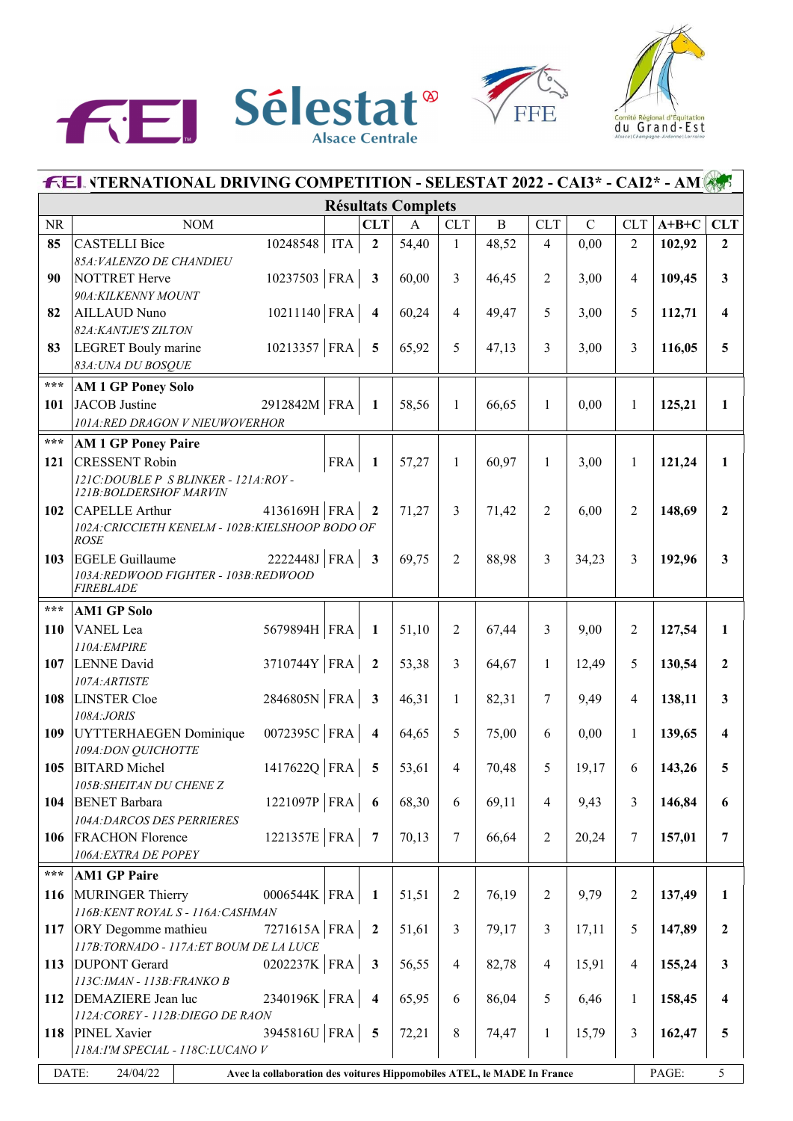





|                   | <b>FEL VTERNATIONAL DRIVING COMPETITION - SELESTAT 2022 - CAI3* - CAI2* - AMI</b>            |            |                         |                           |                |              |                |             |                |         |                         |  |
|-------------------|----------------------------------------------------------------------------------------------|------------|-------------------------|---------------------------|----------------|--------------|----------------|-------------|----------------|---------|-------------------------|--|
|                   |                                                                                              |            |                         | <b>Résultats Complets</b> |                |              |                |             |                |         |                         |  |
| <b>NR</b>         | <b>NOM</b>                                                                                   |            | <b>CLT</b>              | $\mathbf{A}$              | <b>CLT</b>     | $\, {\bf B}$ | <b>CLT</b>     | $\mathbf C$ | <b>CLT</b>     | $A+B+C$ | <b>CLT</b>              |  |
| 85                | 10248548<br><b>CASTELLI Bice</b>                                                             | <b>ITA</b> | $\mathbf{2}$            | 54,40                     | $\mathbf{1}$   | 48,52        | $\overline{4}$ | 0,00        | $\overline{2}$ | 102,92  | $\mathbf{2}$            |  |
|                   | 85A: VALENZO DE CHANDIEU                                                                     |            |                         |                           |                |              |                |             |                |         |                         |  |
| 90                | $10237503$ FRA<br>NOTTRET Herve                                                              |            | $\mathbf{3}$            | 60,00                     | 3              | 46,45        | 2              | 3,00        | 4              | 109,45  | 3 <sup>1</sup>          |  |
|                   | 90A: KILKENNY MOUNT                                                                          |            |                         |                           |                |              |                |             |                |         |                         |  |
| 82                | $10211140$ FRA<br><b>AILLAUD Nuno</b>                                                        |            | $\overline{\mathbf{4}}$ | 60,24                     | $\overline{4}$ | 49,47        | 5              | 3,00        | 5              | 112,71  | $\overline{\mathbf{4}}$ |  |
|                   | 82A: KANTJE'S ZILTON                                                                         |            |                         |                           |                |              |                |             |                |         |                         |  |
| 83                | $10213357$ FRA<br><b>LEGRET</b> Bouly marine<br>83A: UNA DU BOSQUE                           |            | $\overline{5}$          | 65,92                     | 5              | 47,13        | 3              | 3,00        | 3              | 116,05  | 5                       |  |
| $***$             |                                                                                              |            |                         |                           |                |              |                |             |                |         |                         |  |
|                   | <b>AM 1 GP Poney Solo</b><br>JACOB Justine                                                   |            |                         |                           |                |              | $\mathbf{1}$   |             | 1              |         | $\mathbf{1}$            |  |
| 101               | 2912842M FRA<br>101A:RED DRAGON V NIEUWOVERHOR                                               |            | $\mathbf{1}$            | 58,56                     | $\mathbf{1}$   | 66,65        |                | 0,00        |                | 125,21  |                         |  |
| $\star\star\star$ | <b>AM 1 GP Poney Paire</b>                                                                   |            |                         |                           |                |              |                |             |                |         |                         |  |
|                   |                                                                                              |            |                         |                           |                |              |                |             |                |         |                         |  |
| 121               | <b>CRESSENT Robin</b><br>121C: DOUBLE P S BLINKER - 121A: ROY -                              | <b>FRA</b> | $\mathbf{1}$            | 57,27                     | $\mathbf{1}$   | 60,97        | $\mathbf{1}$   | 3,00        | $\mathbf{1}$   | 121,24  | $\mathbf{1}$            |  |
|                   | 121B: BOLDERSHOF MARVIN                                                                      |            |                         |                           |                |              |                |             |                |         |                         |  |
| 102               | 4136169H   FRA<br>CAPELLE Arthur                                                             |            | $\mathbf{2}$            | 71,27                     | 3              | 71,42        | $\overline{2}$ | 6,00        | 2              | 148,69  | $\overline{2}$          |  |
|                   | 102A: CRICCIETH KENELM - 102B: KIELSHOOP BODO OF                                             |            |                         |                           |                |              |                |             |                |         |                         |  |
|                   | <b>ROSE</b>                                                                                  |            |                         |                           |                |              |                |             |                |         |                         |  |
| 103               | $2222448J$ FRA<br><b>EGELE Guillaume</b><br>103A: REDWOOD FIGHTER - 103B: REDWOOD            |            | $\overline{\mathbf{3}}$ | 69,75                     | $\overline{2}$ | 88,98        | 3              | 34,23       | 3              | 192,96  | $\mathbf{3}$            |  |
|                   | <b>FIREBLADE</b>                                                                             |            |                         |                           |                |              |                |             |                |         |                         |  |
| $***$             | <b>AM1 GP Solo</b>                                                                           |            |                         |                           |                |              |                |             |                |         |                         |  |
| 110               | 5679894H   FRA<br>VANEL Lea                                                                  |            | 1                       | 51,10                     | $\overline{2}$ | 67,44        | 3              | 9,00        | 2              | 127,54  | $\mathbf{1}$            |  |
|                   | 110A: EMPIRE                                                                                 |            |                         |                           |                |              |                |             |                |         |                         |  |
| 107               | 3710744Y   FRA  <br>LENNE David                                                              |            | $\overline{2}$          | 53,38                     | 3              | 64,67        | $\mathbf{1}$   | 12,49       | 5              | 130,54  | $\mathbf{2}$            |  |
|                   | 107A: ARTISTE                                                                                |            |                         |                           |                |              |                |             |                |         |                         |  |
| 108               | 2846805N FRA<br>LINSTER Cloe                                                                 |            | $\overline{\mathbf{3}}$ | 46,31                     | $\mathbf{1}$   | 82,31        | $\tau$         | 9,49        | 4              | 138,11  | $\mathbf{3}$            |  |
|                   | 108A:JORIS                                                                                   |            |                         |                           |                |              |                |             |                |         |                         |  |
| 109               | 0072395C FRA<br>UYTTERHAEGEN Dominique                                                       |            | $\overline{\mathbf{4}}$ | 64,65                     | 5              | 75,00        | 6              | 0,00        | $\mathbf{1}$   | 139,65  | 4                       |  |
|                   | 109A: DON QUICHOTTE                                                                          |            |                         |                           |                |              |                |             |                |         |                         |  |
|                   | 1417622Q $ FRA $ 5<br>105 BITARD Michel                                                      |            |                         | 53,61                     | $\overline{4}$ | 70,48        | 5 <sup>5</sup> | 19,17       | 6              | 143,26  |                         |  |
| 104               | 105B: SHEITAN DU CHENE Z<br>1221097P   FRA $ $<br><b>BENET Barbara</b>                       |            | $\overline{\mathbf{6}}$ | 68,30                     | 6              | 69,11        | 4              | 9,43        | 3              | 146,84  | 6                       |  |
|                   | <b>104A:DARCOS DES PERRIERES</b>                                                             |            |                         |                           |                |              |                |             |                |         |                         |  |
| 106               | 1221357E   FRA  <br><b>FRACHON Florence</b>                                                  |            | $\overline{7}$          | 70,13                     | 7              | 66,64        | $\overline{c}$ | 20,24       | 7              | 157,01  | 7                       |  |
|                   | 106A: EXTRA DE POPEY                                                                         |            |                         |                           |                |              |                |             |                |         |                         |  |
| $\star\star\star$ | <b>AM1 GP Paire</b>                                                                          |            |                         |                           |                |              |                |             |                |         |                         |  |
| 116               | MURINGER Thierry<br>0006544K   FRA                                                           |            | 1                       | 51,51                     | $\overline{2}$ | 76,19        | $\overline{2}$ | 9,79        | $\overline{2}$ | 137,49  | 1                       |  |
|                   | 116B: KENT ROYAL S - 116A: CASHMAN                                                           |            |                         |                           |                |              |                |             |                |         |                         |  |
| 117               | 7271615A FRA<br><b>ORY</b> Degomme mathieu                                                   |            | $\overline{2}$          | 51,61                     | 3              | 79,17        | 3              | 17,11       | 5              | 147,89  | $\mathbf{2}$            |  |
|                   | 117B: TORNADO - 117A: ET BOUM DE LA LUCE                                                     |            |                         |                           |                |              |                |             |                |         |                         |  |
| 113               | 0202237K   FRA  <br><b>DUPONT</b> Gerard                                                     |            | $\mathbf{3}$            | 56,55                     | $\overline{4}$ | 82,78        | 4              | 15,91       | 4              | 155,24  | $\mathbf{3}$            |  |
|                   | 113C: IMAN - 113B: FRANKO B                                                                  |            |                         |                           |                |              |                |             |                |         |                         |  |
| 112               | 2340196K FRA<br>DEMAZIERE Jean luc                                                           |            | $\overline{4}$          | 65,95                     | 6              | 86,04        | 5              | 6,46        | 1              | 158,45  | 4                       |  |
| 118               | 112A: COREY - 112B: DIEGO DE RAON<br>3945816U   FRA  <br><b>PINEL Xavier</b>                 |            | $\overline{5}$          | 72,21                     | $\,$ 8 $\,$    | 74,47        | 1              | 15,79       | 3              | 162,47  | 5                       |  |
|                   | 118A: I'M SPECIAL - 118C: LUCANO V                                                           |            |                         |                           |                |              |                |             |                |         |                         |  |
|                   |                                                                                              |            |                         |                           |                |              |                |             |                |         |                         |  |
|                   | DATE:<br>24/04/22<br>Avec la collaboration des voitures Hippomobiles ATEL, le MADE In France |            |                         |                           |                |              |                |             |                | PAGE:   | 5                       |  |